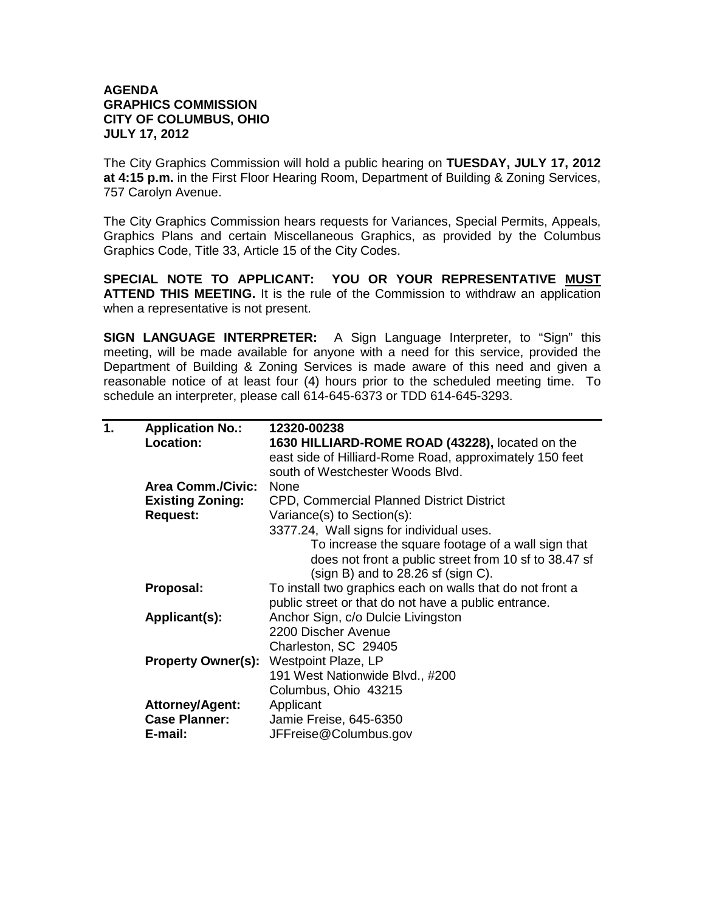## **AGENDA GRAPHICS COMMISSION CITY OF COLUMBUS, OHIO JULY 17, 2012**

The City Graphics Commission will hold a public hearing on **TUESDAY, JULY 17, 2012 at 4:15 p.m.** in the First Floor Hearing Room, Department of Building & Zoning Services, 757 Carolyn Avenue.

The City Graphics Commission hears requests for Variances, Special Permits, Appeals, Graphics Plans and certain Miscellaneous Graphics, as provided by the Columbus Graphics Code, Title 33, Article 15 of the City Codes.

**SPECIAL NOTE TO APPLICANT: YOU OR YOUR REPRESENTATIVE MUST ATTEND THIS MEETING.** It is the rule of the Commission to withdraw an application when a representative is not present.

**SIGN LANGUAGE INTERPRETER:** A Sign Language Interpreter, to "Sign" this meeting, will be made available for anyone with a need for this service, provided the Department of Building & Zoning Services is made aware of this need and given a reasonable notice of at least four (4) hours prior to the scheduled meeting time. To schedule an interpreter, please call 614-645-6373 or TDD 614-645-3293.

| 1. | <b>Application No.:</b>  | 12320-00238                                               |
|----|--------------------------|-----------------------------------------------------------|
|    | Location:                | 1630 HILLIARD-ROME ROAD (43228), located on the           |
|    |                          | east side of Hilliard-Rome Road, approximately 150 feet   |
|    |                          | south of Westchester Woods Blvd.                          |
|    | <b>Area Comm./Civic:</b> | <b>None</b>                                               |
|    | <b>Existing Zoning:</b>  | CPD, Commercial Planned District District                 |
|    | <b>Request:</b>          | Variance(s) to Section(s):                                |
|    |                          | 3377.24, Wall signs for individual uses.                  |
|    |                          | To increase the square footage of a wall sign that        |
|    |                          | does not front a public street from 10 sf to 38.47 sf     |
|    |                          | $(sign B)$ and to 28.26 sf $(sign C)$ .                   |
|    | Proposal:                | To install two graphics each on walls that do not front a |
|    |                          | public street or that do not have a public entrance.      |
|    | Applicant(s):            | Anchor Sign, c/o Dulcie Livingston                        |
|    |                          | 2200 Discher Avenue                                       |
|    |                          | Charleston, SC 29405                                      |
|    |                          | <b>Property Owner(s): Westpoint Plaze, LP</b>             |
|    |                          | 191 West Nationwide Blvd., #200                           |
|    |                          | Columbus, Ohio 43215                                      |
|    | <b>Attorney/Agent:</b>   | Applicant                                                 |
|    | <b>Case Planner:</b>     | Jamie Freise, 645-6350                                    |
|    | E-mail:                  | JFFreise@Columbus.gov                                     |
|    |                          |                                                           |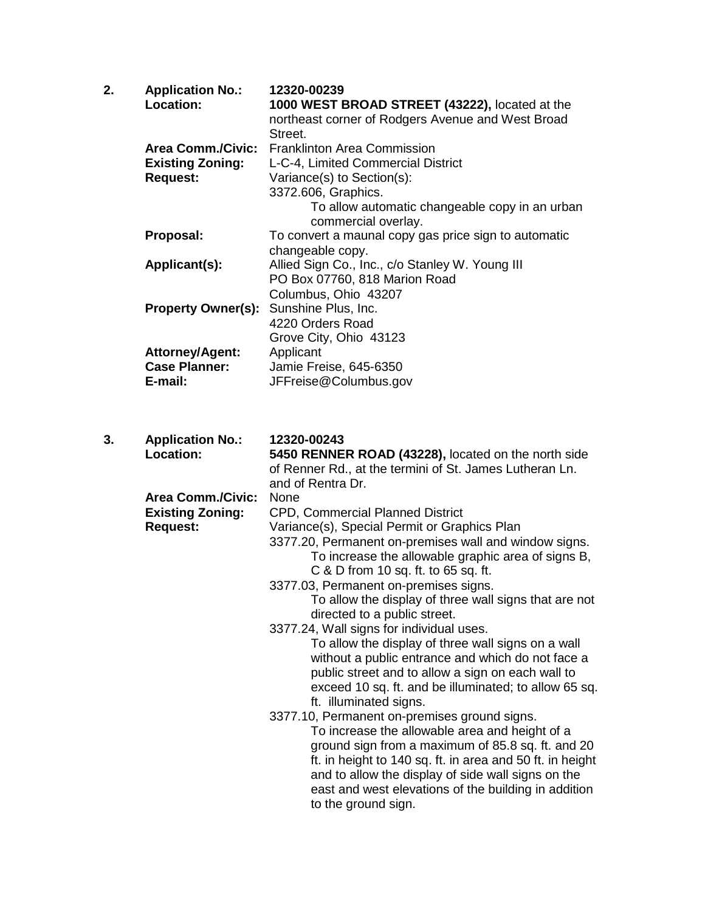| 2. | <b>Application No.:</b><br>Location:<br><b>Area Comm./Civic:</b><br><b>Existing Zoning:</b><br><b>Request:</b> | 12320-00239<br>1000 WEST BROAD STREET (43222), located at the<br>northeast corner of Rodgers Avenue and West Broad<br>Street.<br><b>Franklinton Area Commission</b><br>L-C-4, Limited Commercial District<br>Variance(s) to Section(s):<br>3372.606, Graphics.<br>To allow automatic changeable copy in an urban<br>commercial overlay.                                                                                                                                                                                                                                                                                                                                                                                                                                                                                                                                                                                                                                                                                                  |
|----|----------------------------------------------------------------------------------------------------------------|------------------------------------------------------------------------------------------------------------------------------------------------------------------------------------------------------------------------------------------------------------------------------------------------------------------------------------------------------------------------------------------------------------------------------------------------------------------------------------------------------------------------------------------------------------------------------------------------------------------------------------------------------------------------------------------------------------------------------------------------------------------------------------------------------------------------------------------------------------------------------------------------------------------------------------------------------------------------------------------------------------------------------------------|
|    | Proposal:<br>Applicant(s):                                                                                     | To convert a maunal copy gas price sign to automatic<br>changeable copy.<br>Allied Sign Co., Inc., c/o Stanley W. Young III                                                                                                                                                                                                                                                                                                                                                                                                                                                                                                                                                                                                                                                                                                                                                                                                                                                                                                              |
|    | <b>Property Owner(s):</b>                                                                                      | PO Box 07760, 818 Marion Road<br>Columbus, Ohio 43207<br>Sunshine Plus, Inc.                                                                                                                                                                                                                                                                                                                                                                                                                                                                                                                                                                                                                                                                                                                                                                                                                                                                                                                                                             |
|    | <b>Attorney/Agent:</b><br><b>Case Planner:</b><br>E-mail:                                                      | 4220 Orders Road<br>Grove City, Ohio 43123<br>Applicant<br>Jamie Freise, 645-6350<br>JFFreise@Columbus.gov                                                                                                                                                                                                                                                                                                                                                                                                                                                                                                                                                                                                                                                                                                                                                                                                                                                                                                                               |
| 3. | <b>Application No.:</b><br>Location:                                                                           | 12320-00243<br>5450 RENNER ROAD (43228), located on the north side<br>of Renner Rd., at the termini of St. James Lutheran Ln.<br>and of Rentra Dr.                                                                                                                                                                                                                                                                                                                                                                                                                                                                                                                                                                                                                                                                                                                                                                                                                                                                                       |
|    | <b>Area Comm./Civic:</b><br><b>Existing Zoning:</b><br><b>Request:</b>                                         | None<br>CPD, Commercial Planned District<br>Variance(s), Special Permit or Graphics Plan<br>3377.20, Permanent on-premises wall and window signs.<br>To increase the allowable graphic area of signs B,<br>C & D from 10 sq. ft. to 65 sq. ft.<br>3377.03, Permanent on-premises signs.<br>To allow the display of three wall signs that are not<br>directed to a public street.<br>3377.24, Wall signs for individual uses.<br>To allow the display of three wall signs on a wall<br>without a public entrance and which do not face a<br>public street and to allow a sign on each wall to<br>exceed 10 sq. ft. and be illuminated; to allow 65 sq.<br>ft. illuminated signs.<br>3377.10, Permanent on-premises ground signs.<br>To increase the allowable area and height of a<br>ground sign from a maximum of 85.8 sq. ft. and 20<br>ft. in height to 140 sq. ft. in area and 50 ft. in height<br>and to allow the display of side wall signs on the<br>east and west elevations of the building in addition<br>to the ground sign. |